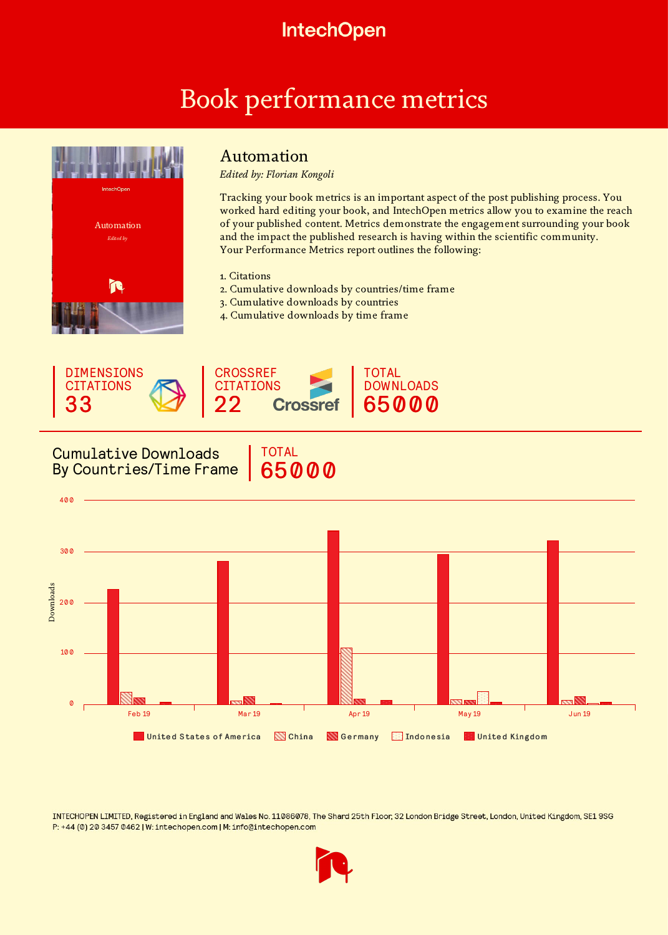## **IntechOpen**

# Book performance metrics



## Automation

*Edited by: Florian Kongoli*

Tracking your book metrics is an important aspect of the post publishing process. You worked hard editing your book, and IntechOpen metrics allow you to examine the reach of your published content. Metrics demonstrate the engagement surrounding your book and the impact the published research is having within the scientific community. Your Performance Metrics report outlines the following:

#### 1. Citations

- 2. Cumulative downloads by countries/time frame
- 3. Cumulative downloads by countries

TOTAL

65000

4. Cumulative downloads by time frame



### Cumulative Downloads By Countries/Time Frame



INTECHOPEN LIMITED, Registered in England and Wales No. 11086078, The Shard 25th Floor, 32 London Bridge Street, London, United Kingdom, SE1 9SG P: +44 (0) 20 3457 0462 | W: intechopen.com | M: info@intechopen.com